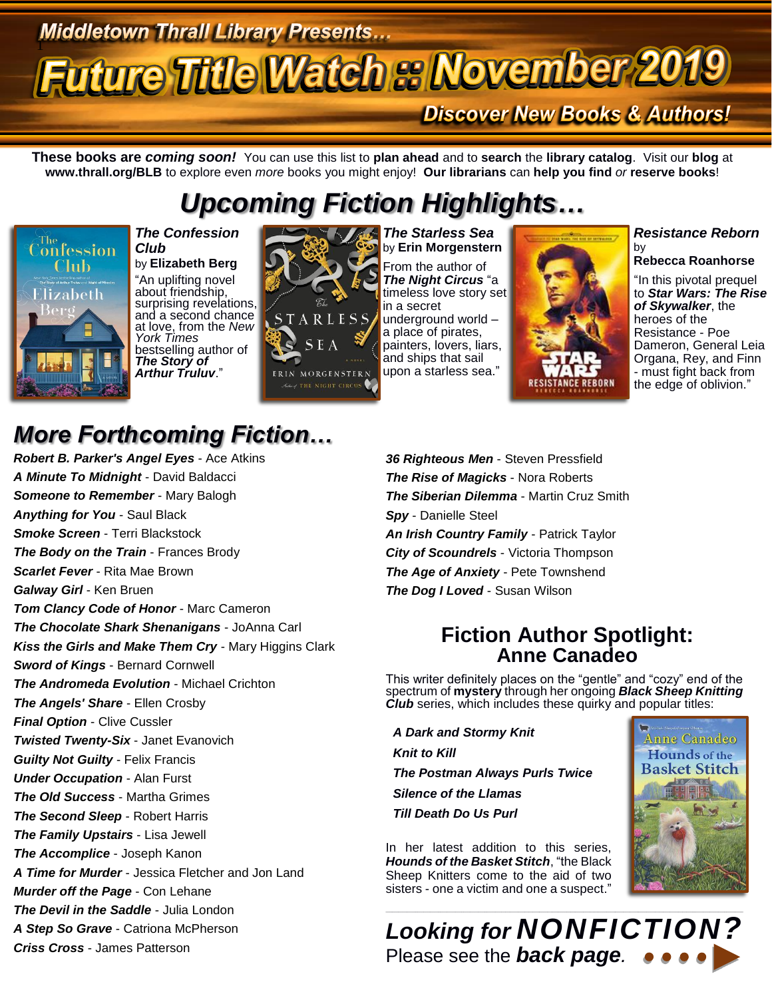# Middletown Thrall Library Presents...<br>Future Title Watch & November 2019

## **Discover New Books & Authors!**

**These books are** *coming soon!* You can use this list to **plan ahead** and to **search** the **library catalog**. Visit our **blog** at **www.thrall.org/BLB** to explore even *more* books you might enjoy! **Our librarians** can **help you find** *or* **reserve books**!

## *Upcoming Fiction Highlights…*



*The Confession Club* by **Elizabeth Berg**

"An uplifting novel about friendship, surprising revelations, and a second chance at love, from the *New York Times* bestselling author of *The Story of Arthur Truluv*."



*The Starless Sea* by **Erin Morgenstern** From the author of *The Night Circus* "a timeless love story set in a secret underground world – a place of pirates, painters, lovers, liars, and ships that sail upon a starless sea."



#### *Resistance Reborn*

by **Rebecca Roanhorse**

"In this pivotal prequel to *Star Wars: The Rise of Skywalker*, the heroes of the Resistance - Poe Dameron, General Leia Organa, Rey, and Finn - must fight back from the edge of oblivion."

## *More Forthcoming Fiction…*

*Robert B. Parker's Angel Eyes* - Ace Atkins *A Minute To Midnight* - David Baldacci *Someone to Remember* - Mary Balogh *Anything for You* - Saul Black *Smoke Screen* - Terri Blackstock *The Body on the Train* - Frances Brody *Scarlet Fever* - Rita Mae Brown *Galway Girl* - Ken Bruen *Tom Clancy Code of Honor* - Marc Cameron *The Chocolate Shark Shenanigans* - JoAnna Carl *Kiss the Girls and Make Them Cry* - Mary Higgins Clark *Sword of Kings* - Bernard Cornwell *The Andromeda Evolution* - Michael Crichton *The Angels' Share* - Ellen Crosby *Final Option* - Clive Cussler *Twisted Twenty-Six* - Janet Evanovich *Guilty Not Guilty* - Felix Francis *Under Occupation* - Alan Furst *The Old Success* - Martha Grimes *The Second Sleep* - Robert Harris *The Family Upstairs* - Lisa Jewell *The Accomplice* - Joseph Kanon *A Time for Murder* - Jessica Fletcher and Jon Land *Murder off the Page* - Con Lehane *The Devil in the Saddle* - Julia London *A Step So Grave* - Catriona McPherson *Criss Cross* - James Patterson

*36 Righteous Men* - Steven Pressfield *The Rise of Magicks* - Nora Roberts *The Siberian Dilemma* - Martin Cruz Smith *Spy* - Danielle Steel *An Irish Country Family* - Patrick Taylor *City of Scoundrels* - Victoria Thompson *The Age of Anxiety* - Pete Townshend *The Dog I Loved* - Susan Wilson

### **Fiction Author Spotlight: Anne Canadeo**

This writer definitely places on the "gentle" and "cozy" end of the spectrum of **mystery** through her ongoing *Black Sheep Knitting Club* series, which includes these quirky and popular titles:

*A Dark and Stormy Knit Knit to Kill The Postman Always Purls Twice Silence of the Llamas Till Death Do Us Purl*

In her latest addition to this series, *Hounds of the Basket Stitch*, "the Black Sheep Knitters come to the aid of two sisters - one a victim and one a suspect."



*Looking for NONFICTION?* Please see the *back page.*